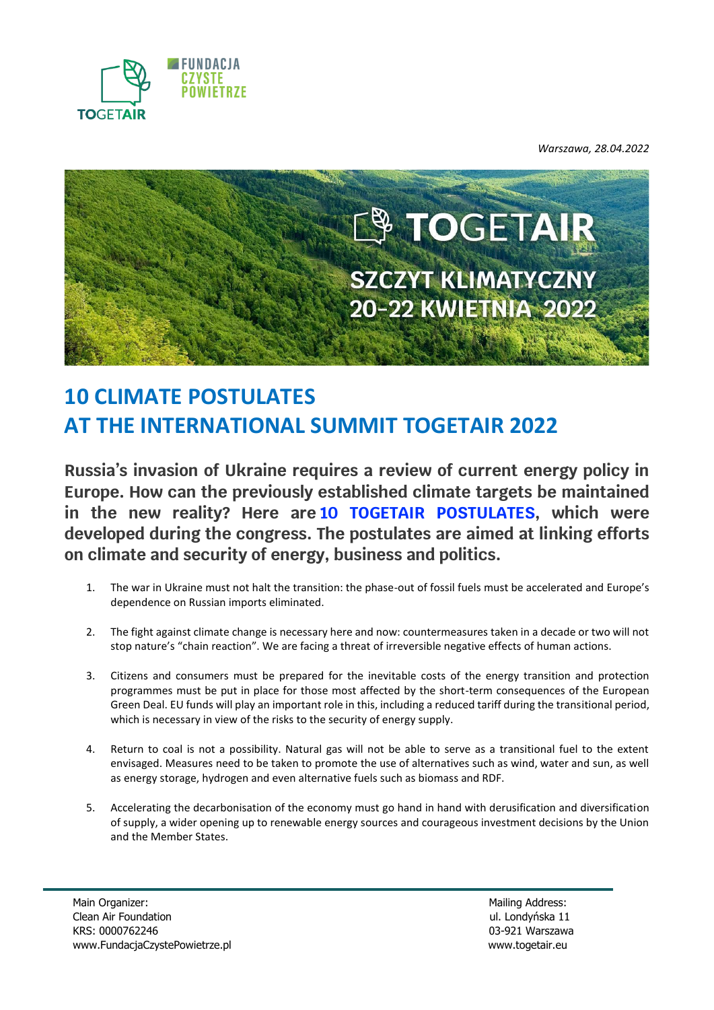

*Warszawa, 28.04.2022*



# **10 CLIMATE POSTULATES AT THE INTERNATIONAL SUMMIT TOGETAIR 2022**

**Russia's invasion of Ukraine requires a review of current energy policy in Europe. How can the previously established climate targets be maintained in the new reality? Here are 10 TOGETAIR POSTULATES, which were developed during the congress. The postulates are aimed at linking efforts on climate and security of energy, business and politics.**

- 1. The war in Ukraine must not halt the transition: the phase-out of fossil fuels must be accelerated and Europe's dependence on Russian imports eliminated.
- 2. The fight against climate change is necessary here and now: countermeasures taken in a decade or two will not stop nature's "chain reaction". We are facing a threat of irreversible negative effects of human actions.
- 3. Citizens and consumers must be prepared for the inevitable costs of the energy transition and protection programmes must be put in place for those most affected by the short-term consequences of the European Green Deal. EU funds will play an important role in this, including a reduced tariff during the transitional period, which is necessary in view of the risks to the security of energy supply.
- 4. Return to coal is not a possibility. Natural gas will not be able to serve as a transitional fuel to the extent envisaged. Measures need to be taken to promote the use of alternatives such as wind, water and sun, as well as energy storage, hydrogen and even alternative fuels such as biomass and RDF.
- 5. Accelerating the decarbonisation of the economy must go hand in hand with derusification and diversification of supply, a wider opening up to renewable energy sources and courageous investment decisions by the Union and the Member States.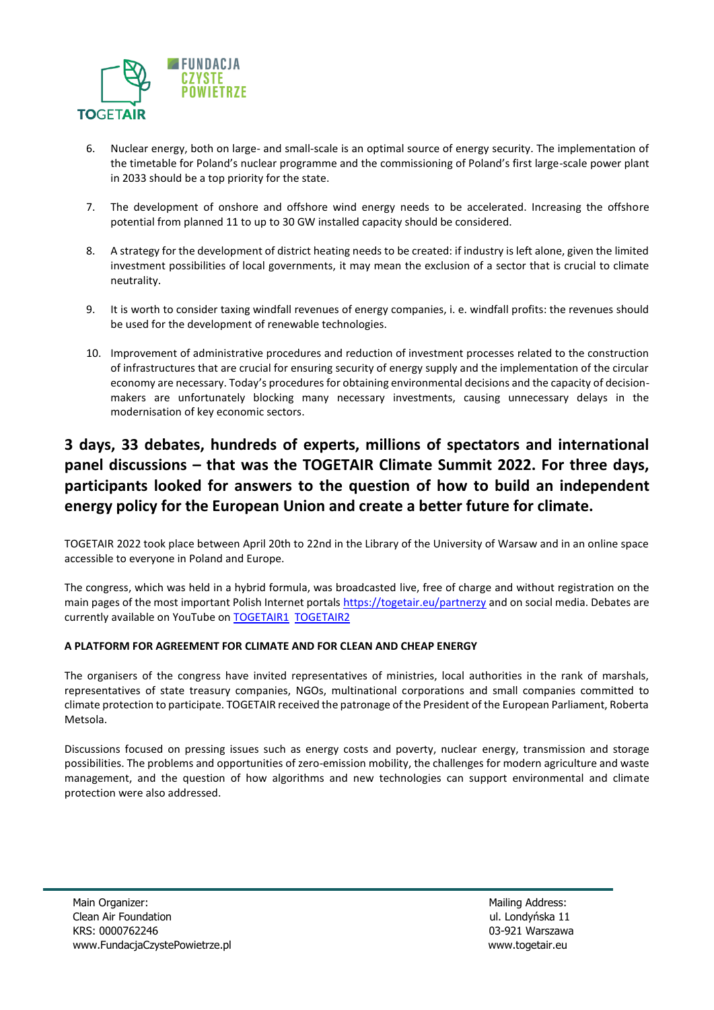

- 6. Nuclear energy, both on large- and small-scale is an optimal source of energy security. The implementation of the timetable for Poland's nuclear programme and the commissioning of Poland's first large-scale power plant in 2033 should be a top priority for the state.
- 7. The development of onshore and offshore wind energy needs to be accelerated. Increasing the offshore potential from planned 11 to up to 30 GW installed capacity should be considered.
- 8. A strategy for the development of district heating needs to be created: if industry is left alone, given the limited investment possibilities of local governments, it may mean the exclusion of a sector that is crucial to climate neutrality.
- 9. It is worth to consider taxing windfall revenues of energy companies, i. e. windfall profits: the revenues should be used for the development of renewable technologies.
- 10. Improvement of administrative procedures and reduction of investment processes related to the construction of infrastructures that are crucial for ensuring security of energy supply and the implementation of the circular economy are necessary. Today's procedures for obtaining environmental decisions and the capacity of decisionmakers are unfortunately blocking many necessary investments, causing unnecessary delays in the modernisation of key economic sectors.

# **3 days, 33 debates, hundreds of experts, millions of spectators and international panel discussions – that was the TOGETAIR Climate Summit 2022. For three days, participants looked for answers to the question of how to build an independent energy policy for the European Union and create a better future for climate.**

TOGETAIR 2022 took place between April 20th to 22nd in the Library of the University of Warsaw and in an online space accessible to everyone in Poland and Europe.

The congress, which was held in a hybrid formula, was broadcasted live, free of charge and without registration on the main pages of the most important Polish Internet portals<https://togetair.eu/partnerzy> and on social media. Debates are currently available on YouTube on [TOGETAIR1](https://www.youtube.com/channel/UCcFdinLYXzGXwxoikcrdmlw) [TOGETAIR2](https://www.youtube.com/channel/UC6gg3neArpdzKPcSMqoo3Fw)

### **A PLATFORM FOR AGREEMENT FOR CLIMATE AND FOR CLEAN AND CHEAP ENERGY**

The organisers of the congress have invited representatives of ministries, local authorities in the rank of marshals, representatives of state treasury companies, NGOs, multinational corporations and small companies committed to climate protection to participate. TOGETAIR received the patronage of the President of the European Parliament, Roberta Metsola.

Discussions focused on pressing issues such as energy costs and poverty, nuclear energy, transmission and storage possibilities. The problems and opportunities of zero-emission mobility, the challenges for modern agriculture and waste management, and the question of how algorithms and new technologies can support environmental and climate protection were also addressed.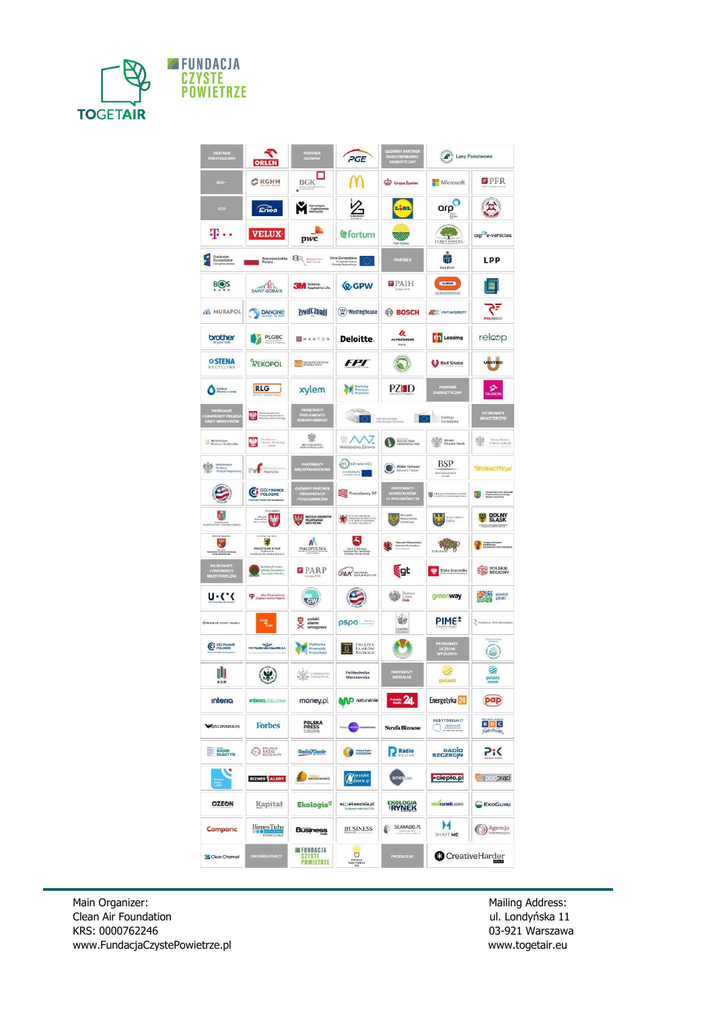

| PARTNER<br>STRATEGICZNY                                | จ<br>ORLEN                                                                  | PARTNER                                                        | PGE                                                                        | GŁÓWNY PARTNER<br>ŚRODOWISKOWO-<br>KLIMATYCZNY | Lasy Państwowe                          |                                                                                |
|--------------------------------------------------------|-----------------------------------------------------------------------------|----------------------------------------------------------------|----------------------------------------------------------------------------|------------------------------------------------|-----------------------------------------|--------------------------------------------------------------------------------|
| ECO-                                                   | CKGHM                                                                       | <b>BGK</b>                                                     |                                                                            | Grupa Żywiec                                   | Microsoft                               | $\blacksquare$ $\blacksquare$ $\blacksquare$                                   |
| ECO                                                    | Enea                                                                        | Gámošinko<br>-Zagiętkowska                                     | Z                                                                          | Lidi                                           | arp                                     | $\mathbf{E}$                                                                   |
| p.,                                                    | <b>VELUX</b>                                                                | pwc                                                            | <b>C</b> fortum                                                            | <b>MIN</b><br>TOP FARMS                        | TERRA NOSTRA                            | orp <sup>e</sup> e-vehicles                                                    |
| Fundusze<br>Europejskie<br>Ø                           | Rzeczpospolita<br>Polska                                                    | <b>ER</b> batches                                              | Unia Europejska<br>Dumpejski Fundast<br>Rozwoju Replocatergo               | PARTNER                                        | Ŵ<br><b>Bank Polski</b>                 | LPP                                                                            |
| <b>BOS</b>                                             | mnn<br>SAINT-GOBAIN                                                         | <b>3M</b> Science.                                             | <b>Q</b> GPW                                                               | $\blacksquare$ PAIH                            | <b>CEASTAR</b><br>EXXISTA CONTROLS DAMA | $\frac{1}{2}$                                                                  |
| <b>MURAPOL</b>                                         | <b>DANONE</b>                                                               | <b>ZYWIEC ZDRÓI</b>                                            | $(\underline{W})$ Westinghouse                                             | <b>BOSCH</b>                                   | <b>ALC:</b> PKP INTERCITY               | ₹ح<br><b>POLREGIO</b>                                                          |
| brother                                                | PLGBC                                                                       | <b>II</b> HANTON                                               | Deloitte.                                                                  | k<br>KROSS<br><b>ROUTE</b>                     | <b>The Leasing</b>                      | relcop                                                                         |
| <b>© STENA</b><br>RECYCLING                            | REKOPOL                                                                     | <b>LUX NOWDOZESNE</b>                                          | <i>FPT</i>                                                                 | $\mathcal{E}$                                  | Red Snake                               | <b>UNITED</b>                                                                  |
| Koalicje<br>Obomy o wodę                               | <b>RLG</b>                                                                  | xylem                                                          | Platforma<br>Przemysła<br>Przyszłości                                      | PZHD                                           | PARTNER<br>ENERGETYCZNY                 | <b>AURON</b>                                                                   |
| <b>PATRONAT<br/>IONOROWY PREZES<br/>RADY MINISTRÓW</b> | Manuel Henerewy politicent<br>Prezesa Rady Ministréw<br>Manuel Ministration | PATRONATY<br>PARLAMENTU<br>EUROPEJSKIEGO                       | S.<br>ander the perfect party                                              |                                                | Komisja<br>O.<br>Europejska             | PATRONATY<br>MINISTERSTW                                                       |
| Ministerstyn<br>Klimaca i Srodovniska                  | 號<br>Repartir Fechnology                                                    | 變<br>MINISTRATION                                              | $\rightarrow$<br>Ministerstwo Zdrowia                                      | <b>EQUARCTWA</b>                               | Minster<br>Edukscji Neuki               | 鑾<br>Minimit Rivers<br>  Policyki Spolecate <br> -<br> -<br>  Carl Ant Hambine |
| Ministerstvo<br>Turdušer<br>Turduše Regio              | <b>The Minister</b>                                                         | <b>PARTNERZY</b><br>MIĘDZYNARODOW                              | $er$ Cirrate KC<br>Co-funded by the                                        | Global Compact                                 | BSP<br><b>RESISTANT</b>                 | <b>TEURACTIV.pl</b>                                                            |
| ₩                                                      | CO FRANCE                                                                   | GŁÓWNY PARTNER<br>ORGANIZACJI<br>PRACODAWCÓW                   | Pracodawcy RP                                                              | PATRONATY<br>MARSZAŁKÓW<br>16 WOJEWÓDZTW       | LIKZĄD MARSZAŁKOWSKI                    | Thursday (1999)<br>This Michael (1999)<br>This Michael Phila                   |
| 痞                                                      | 三製                                                                          | MARSZALEK MILEMÓDZÍVAN<br>MELKÉPOLSKÉBO<br>WARTK MILÍNIAN<br>閿 | <b>THE BURGHAM MORPHONES</b>                                               | this jour defeature.<br>Opolisk loga           | Wojcwidmus                              | <b>DOLNY</b><br>SLASK                                                          |
| 麗<br><b>American Mars</b>                              | 89<br>MIECZYSŁAW STRUK<br>MUSZAFK<br>MEWODZIWA POMORSNECO                   | W<br>MAŁOPOLSKA                                                | A<br>Patrorat Marsocha<br>Vherandrina inteldorga<br>Involuna fonotarchiona | Manashi Wacwritte<br>Kalauski-Franseskipp      |                                         | Compare Scheelber<br>MARKZALEK<br>HARKNOETSKA LÖ                               |
| PATRONATY<br>I PARTNERZY<br>MERYTORYCZNI               | Narodowy Fundust<br>Ochrony Srocewesia<br>Grecostan's Wedney                | $\blacksquare$ $\blacksquare$ $\blacksquare$ $\blacksquare$    | <b>PAA FORETWOWA</b>                                                       | <b>L</b> gt                                    | Biuro Rzecznika                         | <b>REGIONY</b>                                                                 |
| いい                                                     | CP Citpicericted Polskie                                                    | <b>Tell!</b>                                                   |                                                                            | Centre<br>Centre                               | greenway                                | powiet                                                                         |
| <b>GPROCEAM CZYSTA POLSKA</b>                          | CLEAN TUNG                                                                  | polski<br>alarm<br>smogowy                                     | pspa                                                                       | w<br><b>EAZIENKI</b>                           | PIME <sup>+</sup>                       | PENDACIA REFUBLIKANSKA                                                         |
| C CCI FRANCE                                           | PKP POLSKE LINE KOLEJOWE 1.A.                                               | Platforma<br>Przemysłu<br>Przyszłości                          | ZWIĄZEK<br>BANKÓW<br>POLSKICH<br>$\mathbf{B}$                              | M                                              | PATRONATY<br>UCZELNI<br>WYŻSZYCH        | <b>Retrieved Internet</b><br>$\bigcirc$                                        |
| ıÌı<br>AGH                                             | $\omega$<br><b>SALLA</b>                                                    | <b>Alle Cambridge</b>                                          | Politechnika                                                               | PARTNERZY                                      | polsat                                  | s<br>news                                                                      |
| <b>Interia</b>                                         | <b>Interio</b> ZIELONA                                                      | money.pl                                                       | <b>MP</b> naturalnie                                                       | $P_{\text{Rabi}}$ 24.                          | Energetyka <sup>24</sup>                | pap                                                                            |
| <b>ARKZECZPOSPOLITA</b>                                | <b>Forbes</b>                                                               | <b>POLSKA<br/>PRESS</b><br>GRUPA                               | Paleos <mark>(10/11)</mark> nosaemieste.                                   | <b>Strefa Biznesu</b>                          | AUDYTORIUM17<br><b>C</b> ROZGLOSNIK     | $R$ D C<br>Color dia Cresis                                                    |
| <b>RADIO</b><br>OLSZTYN                                | <b>O POLSKIE</b>                                                            | Radio/Opole                                                    | <b>Pulskie Radio</b><br>RZESZÓW                                            | <b>P</b> Radio                                 | BADO<br>SZCZECIN                        | 7:<                                                                            |
|                                                        | <b>BIZNES</b> ALERT                                                         | SRODOWISKO                                                     | Mwysokie<br><b>Mapiecie</b> pl                                             | <b>smogLAB</b>                                 | -ciepło.pl                              | <b>bpictons</b>                                                                |
| <b>OZEON</b>                                           | Kapitał                                                                     | <b>Ekologia</b> <sup>9</sup>                                   | ecoekonomia.pl                                                             | <b>EKOLOGIA</b>                                | ekörynek.com                            | EKOGURU                                                                        |
| Compario                                               | <b>BiznesTuba</b><br>biznestuba.pl                                          | <b>Business</b>                                                | <b>BUSINESS</b>                                                            | SILANACIKI.PL                                  | $\blacktriangleright$<br>SMART ME       | Agencja                                                                        |
| Clear Channel                                          | ORGANIZATORZY                                                               | <b>EEFUNDACJA</b><br><b>GZYSTE</b><br><b>POWIETRZE</b>         | Ō<br><b>RINGACA</b><br>FODYTYWNYCH                                         | <b>PRODUCENT</b>                               | <b>C</b> CreativeHarder                 |                                                                                |

Main Organizer: Mailing Address: Clean Air Foundation and Air School and Air Foundation and Air School and Air<br>Clean Air Foundation and Air School and Air School and Air School and Air School and Air School and Air School Clean Air Foundation KRS: 0000762246<br>
www.FundacjaCzystePowietrze.pl<br>
over the contract of the contract of the contract of the www.togetair.eu [www.FundacjaCzystePowietrze.pl](http://www.fundacjaczystepowietrze.pl/)

03-921 Warszawa